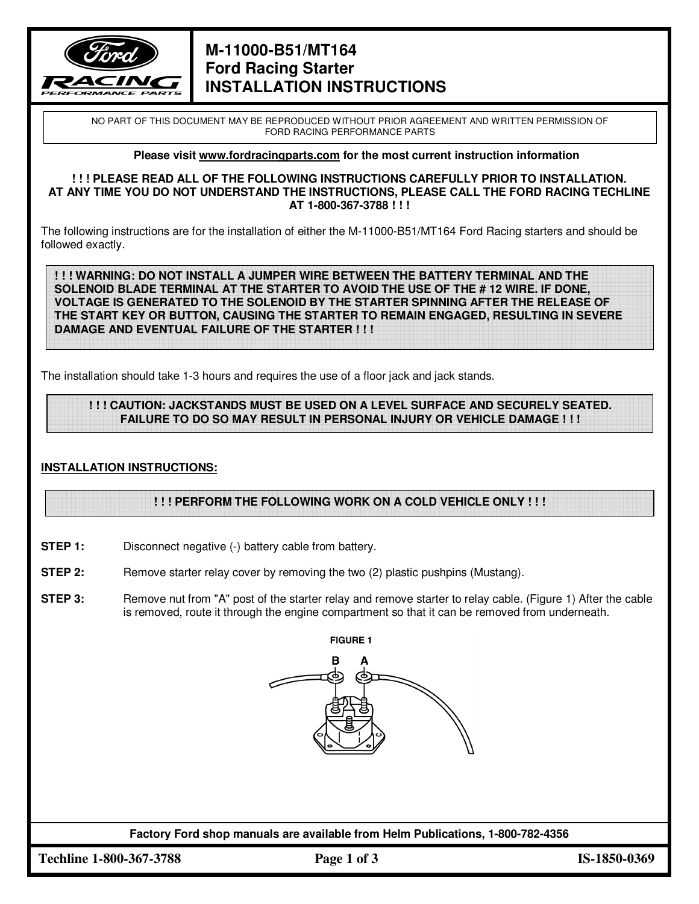

# **M-11000-B51/MT164 Ford Racing Starter INSTALLATION INSTRUCTIONS**

NO PART OF THIS DOCUMENT MAY BE REPRODUCED WITHOUT PRIOR AGREEMENT AND WRITTEN PERMISSION OF FORD RACING PERFORMANCE PARTS

#### **Please visit www.fordracingparts.com for the most current instruction information**

#### **! ! ! PLEASE READ ALL OF THE FOLLOWING INSTRUCTIONS CAREFULLY PRIOR TO INSTALLATION. AT ANY TIME YOU DO NOT UNDERSTAND THE INSTRUCTIONS, PLEASE CALL THE FORD RACING TECHLINE AT 1-800-367-3788 ! ! !**

The following instructions are for the installation of either the M-11000-B51/MT164 Ford Racing starters and should be followed exactly.

**! ! ! WARNING: DO NOT INSTALL A JUMPER WIRE BETWEEN THE BATTERY TERMINAL AND THE SOLENOID BLADE TERMINAL AT THE STARTER TO AVOID THE USE OF THE # 12 WIRE. IF DONE, VOLTAGE IS GENERATED TO THE SOLENOID BY THE STARTER SPINNING AFTER THE RELEASE OF THE START KEY OR BUTTON, CAUSING THE STARTER TO REMAIN ENGAGED, RESULTING IN SEVERE DAMAGE AND EVENTUAL FAILURE OF THE STARTER ! ! !** 

The installation should take 1-3 hours and requires the use of a floor jack and jack stands.

### **! ! ! CAUTION: JACKSTANDS MUST BE USED ON A LEVEL SURFACE AND SECURELY SEATED. FAILURE TO DO SO MAY RESULT IN PERSONAL INJURY OR VEHICLE DAMAGE ! ! !**

### **INSTALLATION INSTRUCTIONS:**

### **! ! ! PERFORM THE FOLLOWING WORK ON A COLD VEHICLE ONLY ! ! !**

- **STEP 1:** Disconnect negative (-) battery cable from battery.
- **STEP 2:** Remove starter relay cover by removing the two (2) plastic pushpins (Mustang).
- **STEP 3:** Remove nut from "A" post of the starter relay and remove starter to relay cable. (Figure 1) After the cable is removed, route it through the engine compartment so that it can be removed from underneath.



**Factory Ford shop manuals are available from Helm Publications, 1-800-782-4356** 

**Techline 1-800-367-3788 Page 1 of 3 IS-1850-0369**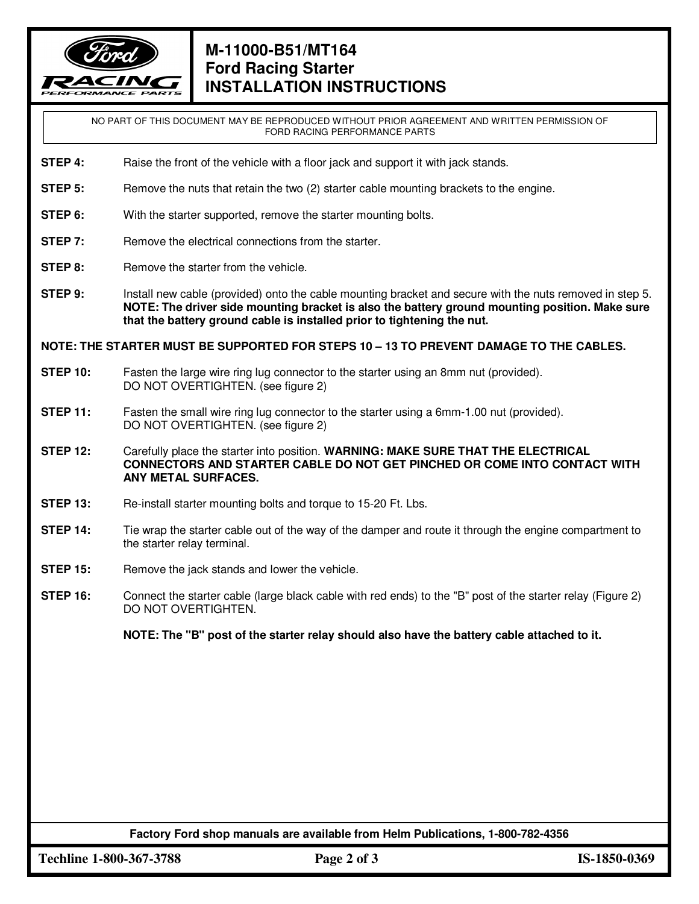

# **M-11000-B51/MT164 Ford Racing Starter INSTALLATION INSTRUCTIONS**

NO PART OF THIS DOCUMENT MAY BE REPRODUCED WITHOUT PRIOR AGREEMENT AND WRITTEN PERMISSION OF FORD RACING PERFORMANCE PARTS

- **STEP 4:** Raise the front of the vehicle with a floor jack and support it with jack stands.
- **STEP 5:** Remove the nuts that retain the two (2) starter cable mounting brackets to the engine.
- **STEP 6:** With the starter supported, remove the starter mounting bolts.
- **STEP 7:** Remove the electrical connections from the starter.
- **STEP 8:** Remove the starter from the vehicle.
- **STEP 9:** Install new cable (provided) onto the cable mounting bracket and secure with the nuts removed in step 5. **NOTE: The driver side mounting bracket is also the battery ground mounting position. Make sure that the battery ground cable is installed prior to tightening the nut.**

**NOTE: THE STARTER MUST BE SUPPORTED FOR STEPS 10 – 13 TO PREVENT DAMAGE TO THE CABLES.** 

- **STEP 10:** Fasten the large wire ring lug connector to the starter using an 8mm nut (provided). DO NOT OVERTIGHTEN. (see figure 2)
- **STEP 11:** Fasten the small wire ring lug connector to the starter using a 6mm-1.00 nut (provided). DO NOT OVERTIGHTEN. (see figure 2)
- **STEP 12:** Carefully place the starter into position. **WARNING: MAKE SURE THAT THE ELECTRICAL CONNECTORS AND STARTER CABLE DO NOT GET PINCHED OR COME INTO CONTACT WITH ANY METAL SURFACES.**
- **STEP 13:** Re-install starter mounting bolts and torque to 15-20 Ft. Lbs.
- **STEP 14:** Tie wrap the starter cable out of the way of the damper and route it through the engine compartment to the starter relay terminal.
- **STEP 15:** Remove the jack stands and lower the vehicle.
- **STEP 16:** Connect the starter cable (large black cable with red ends) to the "B" post of the starter relay (Figure 2) DO NOT OVERTIGHTEN.

**NOTE: The "B" post of the starter relay should also have the battery cable attached to it.** 

**Factory Ford shop manuals are available from Helm Publications, 1-800-782-4356** 

**Techline 1-800-367-3788 Page 2 of 3 IS-1850-0369**